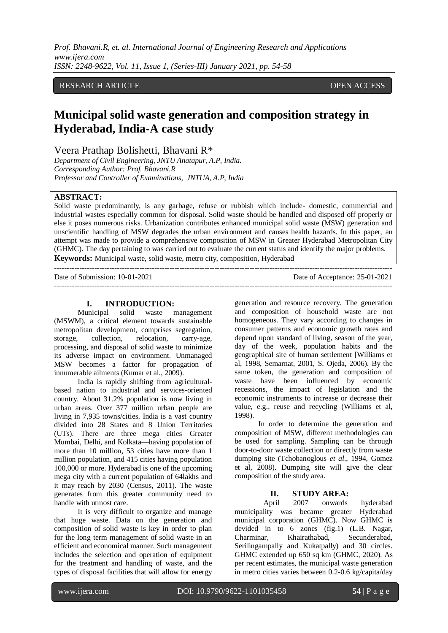## RESEARCH ARTICLE **OPEN ACCESS**

# **Municipal solid waste generation and composition strategy in Hyderabad, India-A case study**

Veera Prathap Bolishetti, Bhavani R\*

*Department of Civil Engineering, JNTU Anatapur, A.P, India. Corresponding Author: Prof. Bhavani.R Professor and Controller of Examinations, JNTUA, A.P, India*

## **ABSTRACT:**

Solid waste predominantly, is any garbage, refuse or rubbish which include- domestic, commercial and industrial wastes especially common for disposal. Solid waste should be handled and disposed off properly or else it poses numerous risks. Urbanization contributes enhanced municipal solid waste (MSW) generation and unscientific handling of MSW degrades the urban environment and causes health hazards. In this paper, an attempt was made to provide a comprehensive composition of MSW in Greater Hyderabad Metropolitan City (GHMC). The day pertaining to was carried out to evaluate the current status and identify the major problems. **Keywords:** Municipal waste, solid waste, metro city, composition, Hyderabad

| Date of Submission: 10-01-2021 | Date of Acceptance: 25-01-2021 |
|--------------------------------|--------------------------------|
|                                |                                |

#### **I. INTRODUCTION:**

Municipal solid waste management (MSWM), a critical element towards sustainable metropolitan development, comprises segregation, storage, collection, relocation, carry-age, processing, and disposal of solid waste to minimize its adverse impact on environment. Unmanaged MSW becomes a factor for propagation of innumerable ailments (Kumar et al., 2009).

India is rapidly shifting from agriculturalbased nation to industrial and services-oriented country. About 31.2% population is now living in urban areas. Over 377 million urban people are living in 7,935 towns/cities. India is a vast country divided into 28 States and 8 Union Territories (UTs). There are three mega cities—Greater Mumbai, Delhi, and Kolkata—having population of more than 10 million, 53 cities have more than 1 million population, and 415 cities having population 100,000 or more. Hyderabad is one of the upcoming mega city with a current population of 64lakhs and it may reach by 2030 (Census, 2011). The waste generates from this greater community need to handle with utmost care.

It is very difficult to organize and manage that huge waste. Data on the generation and composition of solid waste is key in order to plan for the long term management of solid waste in an efficient and economical manner. Such management includes the selection and operation of equipment for the treatment and handling of waste, and the types of disposal facilities that will allow for energy

generation and resource recovery. The generation and composition of household waste are not homogeneous. They vary according to changes in consumer patterns and economic growth rates and depend upon standard of living, season of the year, day of the week, population habits and the geographical site of human settlement [Williams et al, 1998, Semarnat, 2001, S. Ojeda, 2006). By the same token, the generation and composition of waste have been influenced by economic recessions, the impact of legislation and the economic instruments to increase or decrease their value, e.g., reuse and recycling (Williams et al, 1998).

In order to determine the generation and composition of MSW, different methodologies can be used for sampling. Sampling can be through door-to-door waste collection or directly from waste dumping site (Tchobanoglous *et al*., 1994, Gomez et al, 2008). Dumping site will give the clear composition of the study area.

#### **II. STUDY AREA:**

April 2007 onwards hyderabad municipality was became greater Hyderabad municipal corporation (GHMC). Now GHMC is devided in to 6 zones (fig.1) (L.B. Nagar, Charminar, Khairathabad, Secunderabad, Serilingampally and Kukatpally) and 30 circles. GHMC extended up 650 sq km (GHMC, 2020). As per recent estimates, the municipal waste generation in metro cities varies between 0.2-0.6 kg/capita/day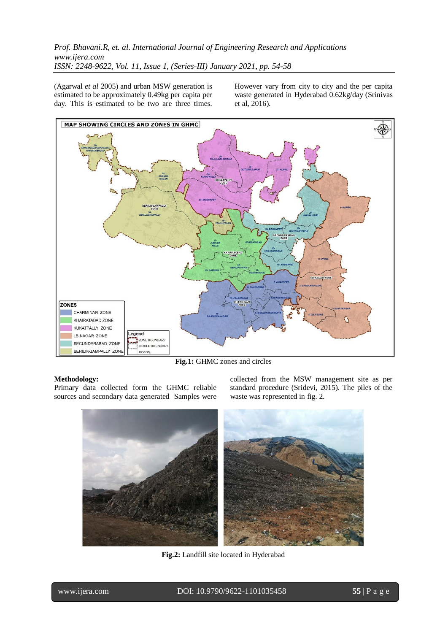(Agarwal *et al* 2005) and urban MSW generation is estimated to be approximately 0.49kg per capita per day. This is estimated to be two are three times.

However vary from city to city and the per capita waste generated in Hyderabad 0.62kg/day (Srinivas et al, 2016).



**Fig.1:** GHMC zones and circles

#### **Methodology:**

Primary data collected form the GHMC reliable sources and secondary data generated Samples were collected from the MSW management site as per standard procedure (Sridevi, 2015). The piles of the waste was represented in fig. 2.



**Fig.2:** Landfill site located in Hyderabad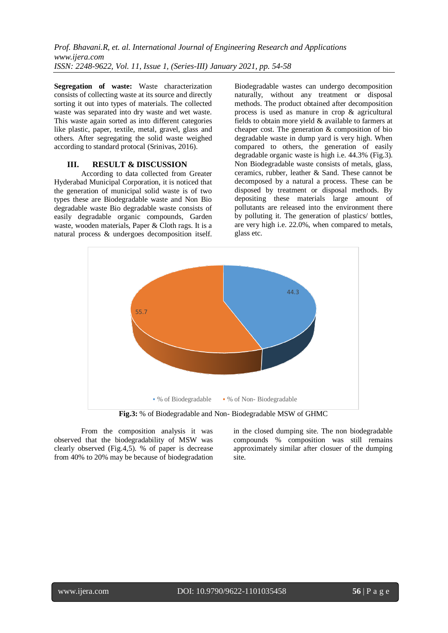**Segregation of waste:** Waste characterization consists of collecting waste at its source and directly sorting it out into types of materials. The collected waste was separated into dry waste and wet waste. This waste again sorted as into different categories like plastic, paper, textile, metal, gravel, glass and others. After segregating the solid waste weighed according to standard protocal (Srinivas, 2016).

#### **III. RESULT & DISCUSSION**

According to data collected from Greater Hyderabad Municipal Corporation, it is noticed that the generation of municipal solid waste is of two types these are Biodegradable waste and Non Bio degradable waste Bio degradable waste consists of easily degradable organic compounds, Garden waste, wooden materials, Paper & Cloth rags. It is a natural process & undergoes decomposition itself.

Biodegradable wastes can undergo decomposition naturally, without any treatment or disposal methods. The product obtained after decomposition process is used as manure in crop & agricultural fields to obtain more yield & available to farmers at cheaper cost. The generation & composition of bio degradable waste in dump yard is very high. When compared to others, the generation of easily degradable organic waste is high i.e. 44.3% (Fig.3). Non Biodegradable waste consists of metals, glass, ceramics, rubber, leather & Sand. These cannot be decomposed by a natural a process. These can be disposed by treatment or disposal methods. By depositing these materials large amount of pollutants are released into the environment there by polluting it. The generation of plastics/ bottles, are very high i.e. 22.0%, when compared to metals, glass etc.



**Fig.3:** % of Biodegradable and Non- Biodegradable MSW of GHMC

From the composition analysis it was observed that the biodegradability of MSW was clearly observed (Fig.4,5). % of paper is decrease from 40% to 20% may be because of biodegradation in the closed dumping site. The non biodegradable compounds % composition was still remains approximately similar after closuer of the dumping site.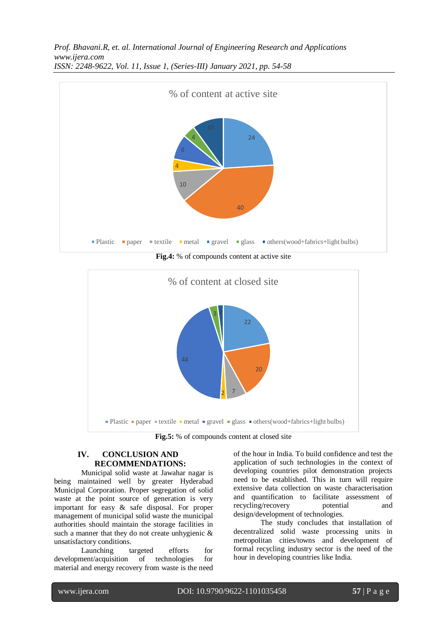

**Fig.4:** % of compounds content at active site



**Fig.5:** % of compounds content at closed site

# **IV. CONCLUSION AND RECOMMENDATIONS:**

Municipal solid waste at Jawahar nagar is being maintained well by greater Hyderabad Municipal Corporation. Proper segregation of solid waste at the point source of generation is very important for easy & safe disposal. For proper management of municipal solid waste the municipal authorities should maintain the storage facilities in such a manner that they do not create unhygienic  $\&$ unsatisfactory conditions.

Launching targeted efforts for development/acquisition of technologies for material and energy recovery from waste is the need

of the hour in India. To build confidence and test the application of such technologies in the context of developing countries pilot demonstration projects need to be established. This in turn will require extensive data collection on waste characterisation and quantification to facilitate assessment of recycling/recovery potential and design/development of technologies.

The study concludes that installation of decentralized solid waste processing units in metropolitan cities/towns and development of formal recycling industry sector is the need of the hour in developing countries like India.